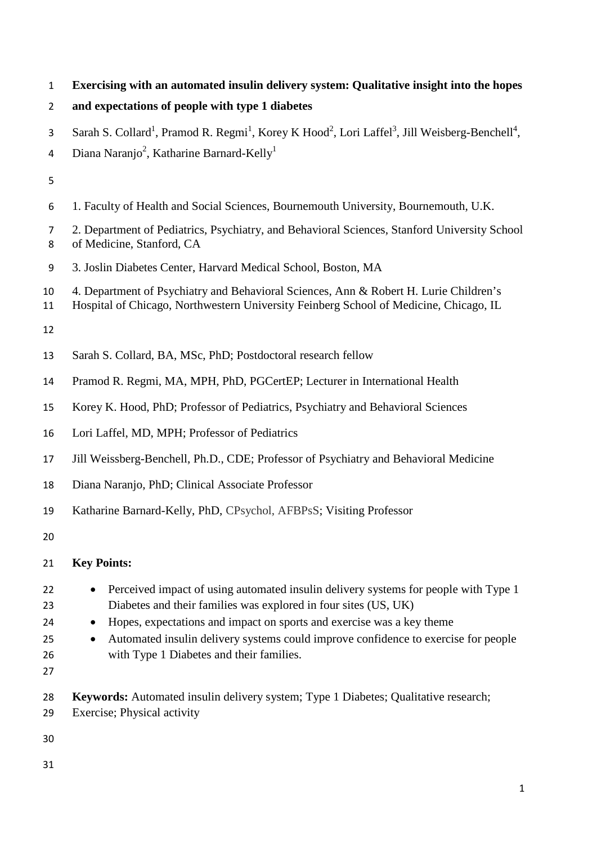**Exercising with an automated insulin delivery system: Qualitative insight into the hopes** 

| 2 and expectations of people with type 1 diabetes |  |
|---------------------------------------------------|--|
|                                                   |  |

- 3 Sarah S. Collard<sup>1</sup>, Pramod R. Regmi<sup>1</sup>, Korey K Hood<sup>2</sup>, Lori Laffel<sup>3</sup>, Jill Weisberg-Benchell<sup>4</sup>,
- 4 Diana Naranjo<sup>2</sup>, Katharine Barnard-Kelly<sup>1</sup>
- 
- 1. Faculty of Health and Social Sciences, Bournemouth University, Bournemouth, U.K.
- 2. Department of Pediatrics, Psychiatry, and Behavioral Sciences, Stanford University School of Medicine, Stanford, CA
- 3. Joslin Diabetes Center, Harvard Medical School, Boston, MA
- 4. Department of Psychiatry and Behavioral Sciences, Ann & Robert H. Lurie Children's
- Hospital of Chicago, Northwestern University Feinberg School of Medicine, Chicago, IL
- 
- Sarah S. Collard, BA, MSc, PhD; Postdoctoral research fellow
- Pramod R. Regmi, MA, MPH, PhD, PGCertEP; Lecturer in International Health
- Korey K. Hood, PhD; Professor of Pediatrics, Psychiatry and Behavioral Sciences
- Lori Laffel, MD, MPH; Professor of Pediatrics
- Jill Weissberg-Benchell, Ph.D., CDE; Professor of Psychiatry and Behavioral Medicine
- Diana Naranjo, PhD; Clinical Associate Professor
- Katharine Barnard-Kelly, PhD, CPsychol, AFBPsS; Visiting Professor
- 

# **Key Points:**

- 22 Perceived impact of using automated insulin delivery systems for people with Type 1 Diabetes and their families was explored in four sites (US, UK)
- Hopes, expectations and impact on sports and exercise was a key theme
- Automated insulin delivery systems could improve confidence to exercise for people with Type 1 Diabetes and their families.
- 
- **Keywords:** Automated insulin delivery system; Type 1 Diabetes; Qualitative research;
- Exercise; Physical activity
- 
-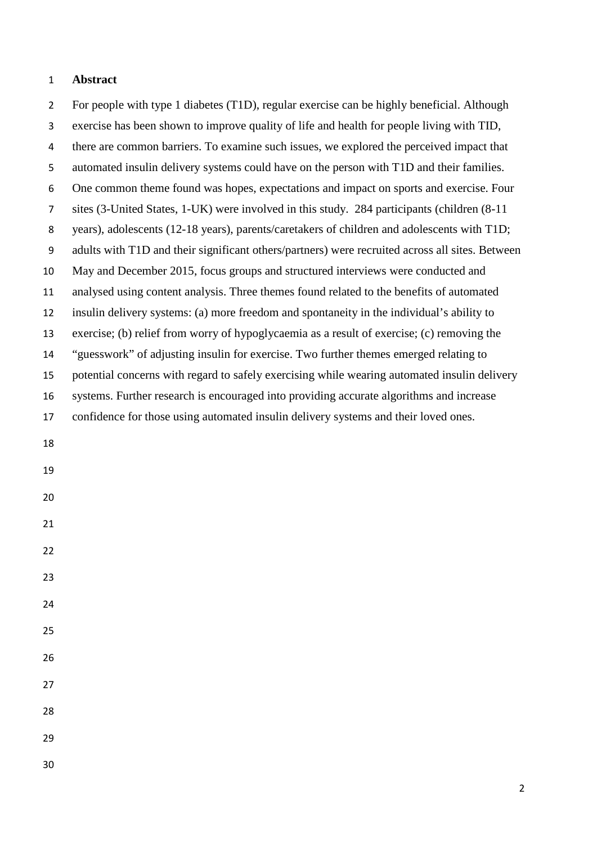#### **Abstract**

 For people with type 1 diabetes (T1D), regular exercise can be highly beneficial. Although exercise has been shown to improve quality of life and health for people living with TID, there are common barriers. To examine such issues, we explored the perceived impact that automated insulin delivery systems could have on the person with T1D and their families. One common theme found was hopes, expectations and impact on sports and exercise. Four sites (3-United States, 1-UK) were involved in this study. 284 participants (children (8-11 years), adolescents (12-18 years), parents/caretakers of children and adolescents with T1D; adults with T1D and their significant others/partners) were recruited across all sites. Between May and December 2015, focus groups and structured interviews were conducted and analysed using content analysis. Three themes found related to the benefits of automated insulin delivery systems: (a) more freedom and spontaneity in the individual's ability to exercise; (b) relief from worry of hypoglycaemia as a result of exercise; (c) removing the "guesswork" of adjusting insulin for exercise. Two further themes emerged relating to potential concerns with regard to safely exercising while wearing automated insulin delivery systems. Further research is encouraged into providing accurate algorithms and increase confidence for those using automated insulin delivery systems and their loved ones.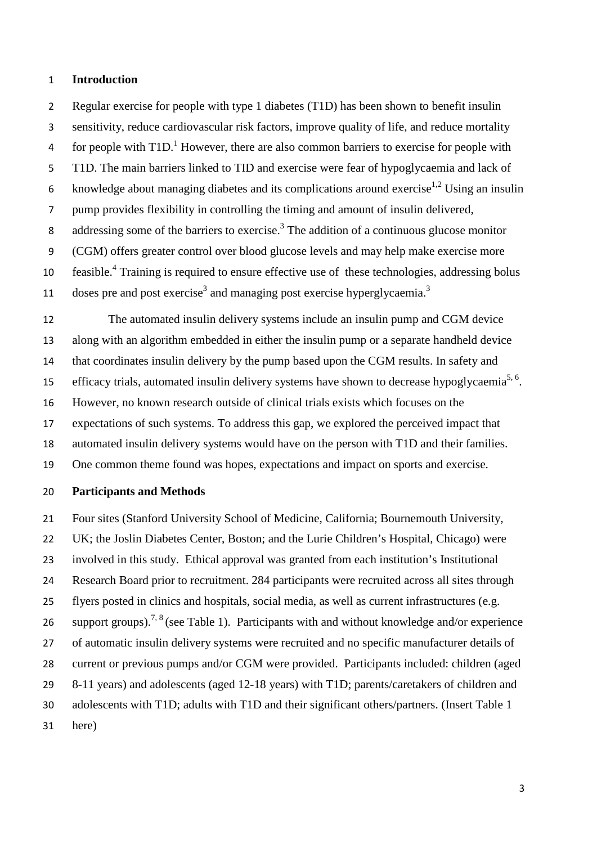#### **Introduction**

 Regular exercise for people with type 1 diabetes (T1D) has been shown to benefit insulin sensitivity, reduce cardiovascular risk factors, improve quality of life, and reduce mortality 4 for people with T[1](#page-9-0)D.<sup>1</sup> However, there are also common barriers to exercise for people with T1D. The main barriers linked to TID and exercise were fear of hypoglycaemia and lack of 6 knowledge about managing diabetes and its complications around exercise<sup>1,[2](#page-9-1)</sup> Using an insulin pump provides flexibility in controlling the timing and amount of insulin delivered, 8 addressing some of the barriers to exercise[.](#page-9-2)<sup>3</sup> The addition of a continuous glucose monitor (CGM) offers greater control over blood glucose levels and may help make exercise more feasible[.4](#page-9-3) Training is required to ensure effective use of these technologies, addressing bolus 11 doses pre and post exercise<sup>3</sup> and managing post exercise hyperglycaemia.<sup>3</sup>

 The automated insulin delivery systems include an insulin pump and CGM device along with an algorithm embedded in either the insulin pump or a separate handheld device that coordinates insulin delivery by the pump based upon the CGM results. In safety and 15 efficacy trials, automated insulin delivery systems have shown to decrease hypoglycaemia<sup>5, 6</sup>. However, no known research outside of clinical trials exists which focuses on the expectations of such systems. To address this gap, we explored the perceived impact that automated insulin delivery systems would have on the person with T1D and their families. One common theme found was hopes, expectations and impact on sports and exercise.

#### **Participants and Methods**

 Four sites (Stanford University School of Medicine, California; Bournemouth University, UK; the Joslin Diabetes Center, Boston; and the Lurie Children's Hospital, Chicago) were involved in this study. Ethical approval was granted from each institution's Institutional Research Board prior to recruitment. 284 participants were recruited across all sites through flyers posted in clinics and hospitals, social media, as well as current infrastructures (e.g. 26 support groups).<sup>7, 8</sup> (see Table 1). Participants with and without knowledge and/or experience of automatic insulin delivery systems were recruited and no specific manufacturer details of current or previous pumps and/or CGM were provided. Participants included: children (aged 8-11 years) and adolescents (aged 12-18 years) with T1D; parents/caretakers of children and adolescents with T1D; adults with T1D and their significant others/partners. (Insert Table 1 here)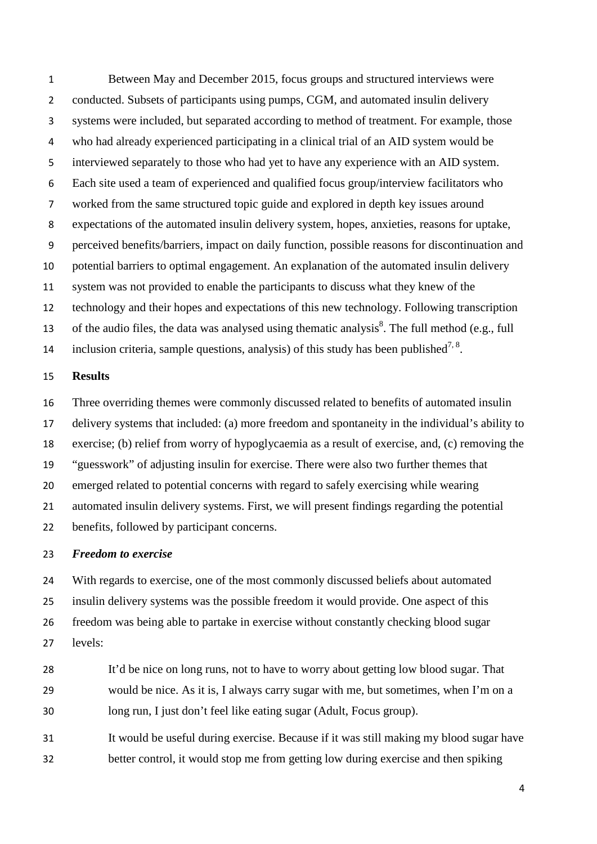Between May and December 2015, focus groups and structured interviews were 2 conducted. Subsets of participants using pumps, CGM, and automated insulin delivery systems were included, but separated according to method of treatment. For example, those who had already experienced participating in a clinical trial of an AID system would be interviewed separately to those who had yet to have any experience with an AID system. Each site used a team of experienced and qualified focus group/interview facilitators who worked from the same structured topic guide and explored in depth key issues around expectations of the automated insulin delivery system, hopes, anxieties, reasons for uptake, perceived benefits/barriers, impact on daily function, possible reasons for discontinuation and potential barriers to optimal engagement. An explanation of the automated insulin delivery system was not provided to enable the participants to discuss what they knew of the technology and their hopes and expectations of this new technology. Following transcription 13 of the audio files, the data was analysed using thematic analysis<sup>8</sup>. The full method (e.g., full inclusion criteria, sample questions, analysis) of this study has been published<sup>7, 8</sup>.

### **Results**

 Three overriding themes were commonly discussed related to benefits of automated insulin delivery systems that included: (a) more freedom and spontaneity in the individual's ability to exercise; (b) relief from worry of hypoglycaemia as a result of exercise, and, (c) removing the "guesswork" of adjusting insulin for exercise. There were also two further themes that emerged related to potential concerns with regard to safely exercising while wearing automated insulin delivery systems. First, we will present findings regarding the potential benefits, followed by participant concerns.

#### *Freedom to exercise*

 With regards to exercise, one of the most commonly discussed beliefs about automated insulin delivery systems was the possible freedom it would provide. One aspect of this freedom was being able to partake in exercise without constantly checking blood sugar levels:

- 28 It'd be nice on long runs, not to have to worry about getting low blood sugar. That would be nice. As it is, I always carry sugar with me, but sometimes, when I'm on a long run, I just don't feel like eating sugar (Adult, Focus group).
- It would be useful during exercise. Because if it was still making my blood sugar have better control, it would stop me from getting low during exercise and then spiking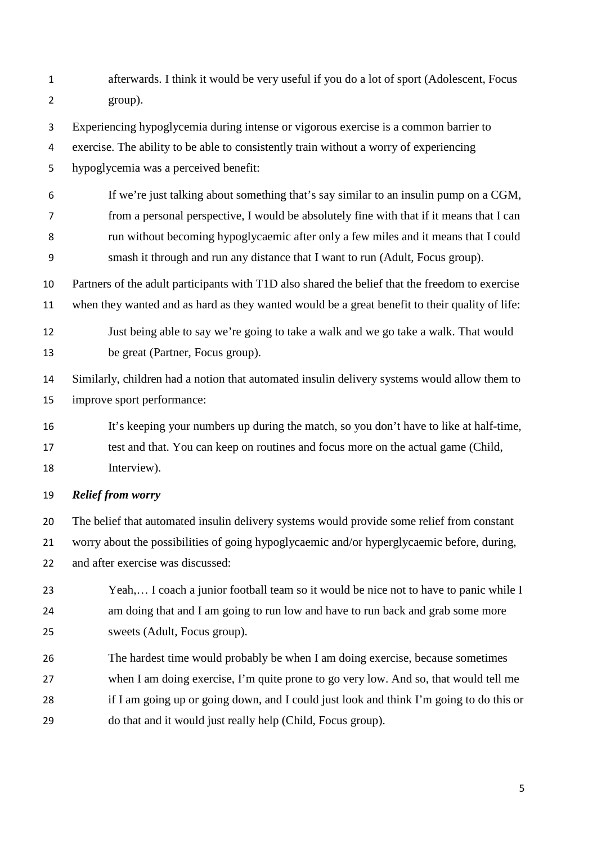afterwards. I think it would be very useful if you do a lot of sport (Adolescent, Focus group).

Experiencing hypoglycemia during intense or vigorous exercise is a common barrier to

exercise. The ability to be able to consistently train without a worry of experiencing

hypoglycemia was a perceived benefit:

 If we're just talking about something that's say similar to an insulin pump on a CGM, from a personal perspective, I would be absolutely fine with that if it means that I can

run without becoming hypoglycaemic after only a few miles and it means that I could

smash it through and run any distance that I want to run (Adult, Focus group).

 Partners of the adult participants with T1D also shared the belief that the freedom to exercise when they wanted and as hard as they wanted would be a great benefit to their quality of life:

 Just being able to say we're going to take a walk and we go take a walk. That would be great (Partner, Focus group).

 Similarly, children had a notion that automated insulin delivery systems would allow them to improve sport performance:

 It's keeping your numbers up during the match, so you don't have to like at half-time, test and that. You can keep on routines and focus more on the actual game (Child, Interview).

*Relief from worry*

 The belief that automated insulin delivery systems would provide some relief from constant worry about the possibilities of going hypoglycaemic and/or hyperglycaemic before, during, 22 and after exercise was discussed:

- Yeah,… I coach a junior football team so it would be nice not to have to panic while I am doing that and I am going to run low and have to run back and grab some more sweets (Adult, Focus group).
- The hardest time would probably be when I am doing exercise, because sometimes when I am doing exercise, I'm quite prone to go very low. And so, that would tell me if I am going up or going down, and I could just look and think I'm going to do this or do that and it would just really help (Child, Focus group).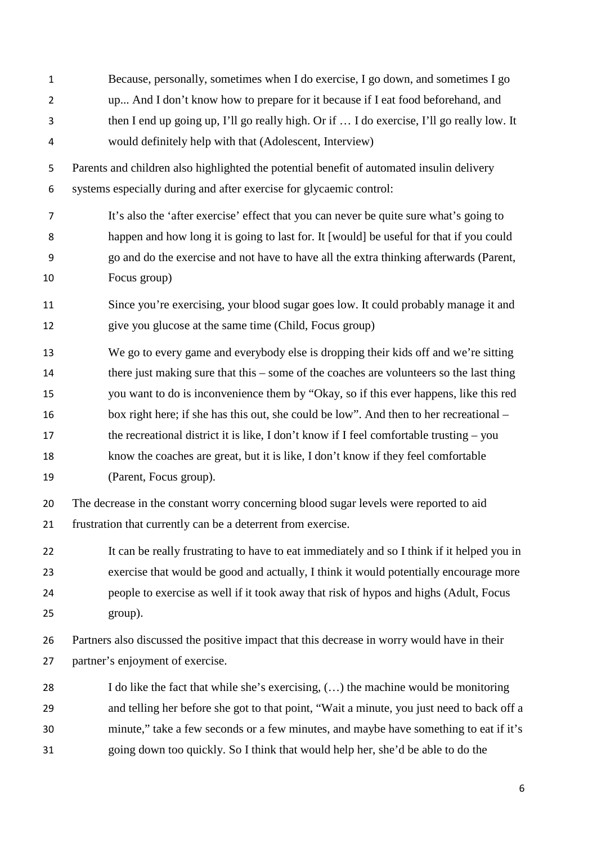| $\mathbf{1}$   | Because, personally, sometimes when I do exercise, I go down, and sometimes I go            |
|----------------|---------------------------------------------------------------------------------------------|
| $\overline{2}$ | up And I don't know how to prepare for it because if I eat food beforehand, and             |
| 3              | then I end up going up, I'll go really high. Or if  I do exercise, I'll go really low. It   |
| 4              | would definitely help with that (Adolescent, Interview)                                     |
| 5              | Parents and children also highlighted the potential benefit of automated insulin delivery   |
| 6              | systems especially during and after exercise for glycaemic control:                         |
| $\overline{7}$ | It's also the 'after exercise' effect that you can never be quite sure what's going to      |
| 8              | happen and how long it is going to last for. It [would] be useful for that if you could     |
| 9              | go and do the exercise and not have to have all the extra thinking afterwards (Parent,      |
| 10             | Focus group)                                                                                |
| 11             | Since you're exercising, your blood sugar goes low. It could probably manage it and         |
| 12             | give you glucose at the same time (Child, Focus group)                                      |
| 13             | We go to every game and everybody else is dropping their kids off and we're sitting         |
| 14             | there just making sure that this – some of the coaches are volunteers so the last thing     |
| 15             | you want to do is inconvenience them by "Okay, so if this ever happens, like this red       |
| 16             | box right here; if she has this out, she could be low". And then to her recreational –      |
| 17             | the recreational district it is like, I don't know if I feel comfortable trusting $-$ you   |
| 18             | know the coaches are great, but it is like, I don't know if they feel comfortable           |
| 19             | (Parent, Focus group).                                                                      |
| 20             | The decrease in the constant worry concerning blood sugar levels were reported to aid       |
| 21             | frustration that currently can be a deterrent from exercise.                                |
| 22             | It can be really frustrating to have to eat immediately and so I think if it helped you in  |
| 23             | exercise that would be good and actually, I think it would potentially encourage more       |
| 24             | people to exercise as well if it took away that risk of hypos and highs (Adult, Focus       |
| 25             | group).                                                                                     |
| 26             | Partners also discussed the positive impact that this decrease in worry would have in their |
| 27             | partner's enjoyment of exercise.                                                            |
| 28             | I do like the fact that while she's exercising, () the machine would be monitoring          |
| 29             | and telling her before she got to that point, "Wait a minute, you just need to back off a   |
| 30             | minute," take a few seconds or a few minutes, and maybe have something to eat if it's       |
| 31             | going down too quickly. So I think that would help her, she'd be able to do the             |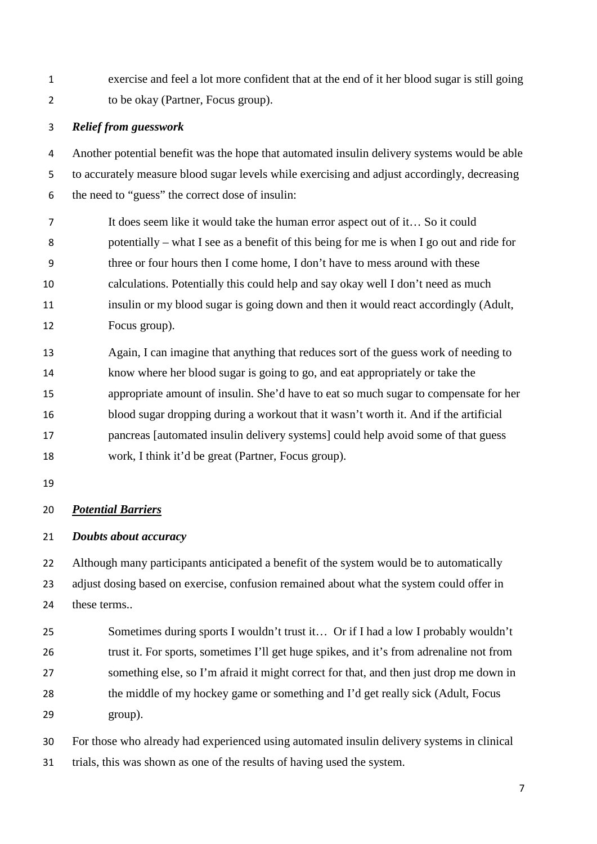exercise and feel a lot more confident that at the end of it her blood sugar is still going to be okay (Partner, Focus group).

## *Relief from guesswork*

 Another potential benefit was the hope that automated insulin delivery systems would be able to accurately measure blood sugar levels while exercising and adjust accordingly, decreasing the need to "guess" the correct dose of insulin:

 It does seem like it would take the human error aspect out of it… So it could potentially – what I see as a benefit of this being for me is when I go out and ride for three or four hours then I come home, I don't have to mess around with these calculations. Potentially this could help and say okay well I don't need as much insulin or my blood sugar is going down and then it would react accordingly (Adult, Focus group).

 Again, I can imagine that anything that reduces sort of the guess work of needing to know where her blood sugar is going to go, and eat appropriately or take the appropriate amount of insulin. She'd have to eat so much sugar to compensate for her blood sugar dropping during a workout that it wasn't worth it. And if the artificial pancreas [automated insulin delivery systems] could help avoid some of that guess work, I think it'd be great (Partner, Focus group).

## *Potential Barriers*

## *Doubts about accuracy*

22 Although many participants anticipated a benefit of the system would be to automatically adjust dosing based on exercise, confusion remained about what the system could offer in these terms..

 Sometimes during sports I wouldn't trust it… Or if I had a low I probably wouldn't trust it. For sports, sometimes I'll get huge spikes, and it's from adrenaline not from something else, so I'm afraid it might correct for that, and then just drop me down in 28 the middle of my hockey game or something and I'd get really sick (Adult, Focus group).

 For those who already had experienced using automated insulin delivery systems in clinical trials, this was shown as one of the results of having used the system.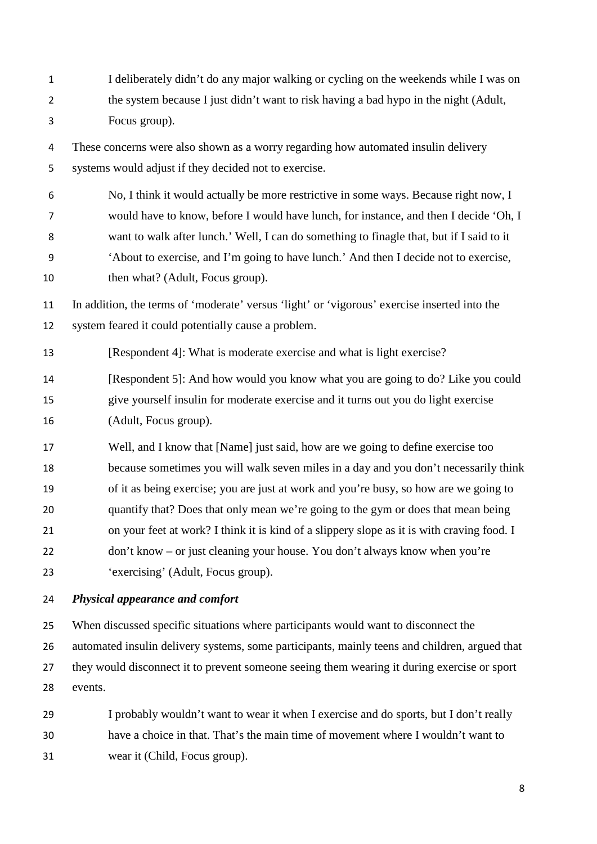I deliberately didn't do any major walking or cycling on the weekends while I was on the system because I just didn't want to risk having a bad hypo in the night (Adult, Focus group).

 These concerns were also shown as a worry regarding how automated insulin delivery systems would adjust if they decided not to exercise.

 No, I think it would actually be more restrictive in some ways. Because right now, I would have to know, before I would have lunch, for instance, and then I decide 'Oh, I want to walk after lunch.' Well, I can do something to finagle that, but if I said to it 'About to exercise, and I'm going to have lunch.' And then I decide not to exercise, 10 then what? (Adult, Focus group).

 In addition, the terms of 'moderate' versus 'light' or 'vigorous' exercise inserted into the system feared it could potentially cause a problem.

13 [Respondent 4]: What is moderate exercise and what is light exercise?

 [Respondent 5]: And how would you know what you are going to do? Like you could give yourself insulin for moderate exercise and it turns out you do light exercise (Adult, Focus group).

 Well, and I know that [Name] just said, how are we going to define exercise too because sometimes you will walk seven miles in a day and you don't necessarily think of it as being exercise; you are just at work and you're busy, so how are we going to quantify that? Does that only mean we're going to the gym or does that mean being on your feet at work? I think it is kind of a slippery slope as it is with craving food. I don't know – or just cleaning your house. You don't always know when you're 'exercising' (Adult, Focus group).

## *Physical appearance and comfort*

 When discussed specific situations where participants would want to disconnect the automated insulin delivery systems, some participants, mainly teens and children, argued that they would disconnect it to prevent someone seeing them wearing it during exercise or sport events.

 I probably wouldn't want to wear it when I exercise and do sports, but I don't really have a choice in that. That's the main time of movement where I wouldn't want to wear it (Child, Focus group).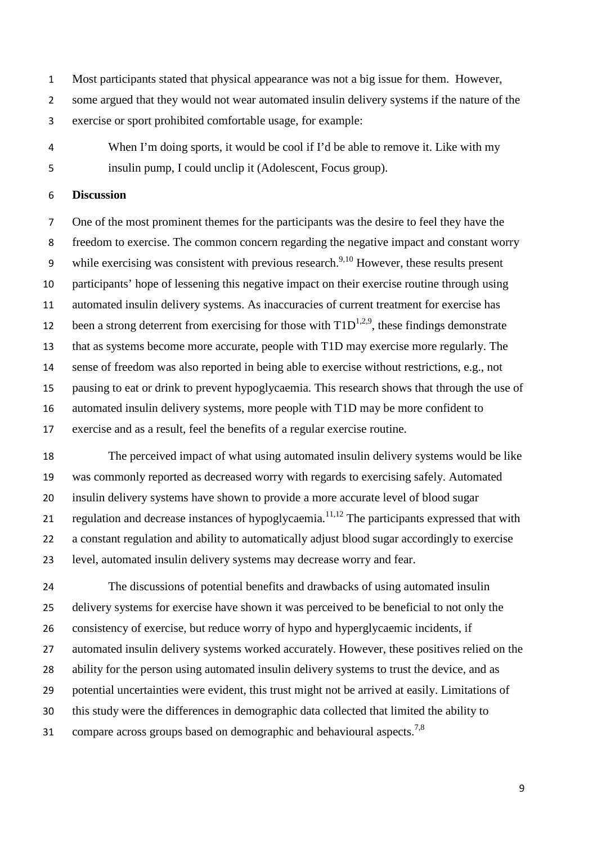Most participants stated that physical appearance was not a big issue for them. However,

some argued that they would not wear automated insulin delivery systems if the nature of the

exercise or sport prohibited comfortable usage, for example:

 When I'm doing sports, it would be cool if I'd be able to remove it. Like with my insulin pump, I could unclip it (Adolescent, Focus group).

## **Discussion**

 One of the most prominent themes for the participants was the desire to feel they have the freedom to exercise. The common concern regarding the negative impact and constant worry 9 while exercising was consistent with previous research.<sup>9,[10](#page-10-1)</sup> However, these results present participants' hope of lessening this negative impact on their exercise routine through using automated insulin delivery systems. As inaccuracies of current treatment for exercise has 12 been a strong deterrent from exercising for those with  $T1D^{1,2,9}$  $T1D^{1,2,9}$  $T1D^{1,2,9}$  $T1D^{1,2,9}$ , these findings demonstrate that as systems become more accurate, people with T1D may exercise more regularly. The sense of freedom was also reported in being able to exercise without restrictions, e.g., not pausing to eat or drink to prevent hypoglycaemia. This research shows that through the use of automated insulin delivery systems, more people with T1D may be more confident to exercise and as a result, feel the benefits of a regular exercise routine.

 The perceived impact of what using automated insulin delivery systems would be like was commonly reported as decreased worry with regards to exercising safely. Automated insulin delivery systems have shown to provide a more accurate level of blood sugar 21 regulation and decrease instances of hypoglycaemia.<sup>11,[12](#page-10-3)</sup> The participants expressed that with a constant regulation and ability to automatically adjust blood sugar accordingly to exercise level, automated insulin delivery systems may decrease worry and fear.

 The discussions of potential benefits and drawbacks of using automated insulin delivery systems for exercise have shown it was perceived to be beneficial to not only the consistency of exercise, but reduce worry of hypo and hyperglycaemic incidents, if automated insulin delivery systems worked accurately. However, these positives relied on the ability for the person using automated insulin delivery systems to trust the device, and as potential uncertainties were evident, this trust might not be arrived at easily. Limitations of this study were the differences in demographic data collected that limited the ability to 31 compare across groups based on demographic and behavioural aspects.<sup>7,8</sup>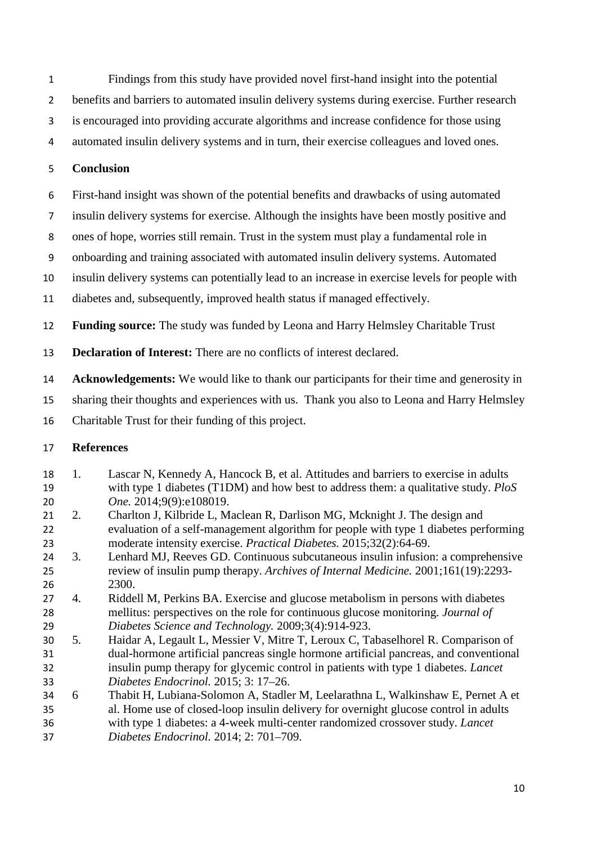- Findings from this study have provided novel first-hand insight into the potential
- benefits and barriers to automated insulin delivery systems during exercise. Further research
- is encouraged into providing accurate algorithms and increase confidence for those using
- automated insulin delivery systems and in turn, their exercise colleagues and loved ones.

# **Conclusion**

- First-hand insight was shown of the potential benefits and drawbacks of using automated
- insulin delivery systems for exercise. Although the insights have been mostly positive and
- ones of hope, worries still remain. Trust in the system must play a fundamental role in
- onboarding and training associated with automated insulin delivery systems. Automated
- insulin delivery systems can potentially lead to an increase in exercise levels for people with
- diabetes and, subsequently, improved health status if managed effectively.
- **Funding source:** The study was funded by Leona and Harry Helmsley Charitable Trust
- **Declaration of Interest:** There are no conflicts of interest declared.
- **Acknowledgements:** We would like to thank our participants for their time and generosity in
- sharing their thoughts and experiences with us. Thank you also to Leona and Harry Helmsley
- Charitable Trust for their funding of this project.

# **References**

- <span id="page-9-0"></span> 1. Lascar N, Kennedy A, Hancock B, et al. Attitudes and barriers to exercise in adults with type 1 diabetes (T1DM) and how best to address them: a qualitative study. *PloS One.* 2014;9(9):e108019.
- <span id="page-9-1"></span> 2. Charlton J, Kilbride L, Maclean R, Darlison MG, Mcknight J. The design and evaluation of a self-management algorithm for people with type 1 diabetes performing moderate intensity exercise. *Practical Diabetes.* 2015;32(2):64-69.
- <span id="page-9-2"></span> 3. Lenhard MJ, Reeves GD. Continuous subcutaneous insulin infusion: a comprehensive review of insulin pump therapy. *Archives of Internal Medicine.* 2001;161(19):2293- 2300.
- <span id="page-9-3"></span> 4. Riddell M, Perkins BA. Exercise and glucose metabolism in persons with diabetes mellitus: perspectives on the role for continuous glucose monitoring. *Journal of Diabetes Science and Technology.* 2009;3(4):914-923.
- 5. Haidar A, Legault L, Messier V, Mitre T, Leroux C, Tabaselhorel R. Comparison of dual-hormone artificial pancreas single hormone artificial pancreas, and conventional insulin pump therapy for glycemic control in patients with type 1 diabetes. *Lancet Diabetes Endocrinol.* 2015; 3: 17–26.
- 6 Thabit H, Lubiana-Solomon A, Stadler M, Leelarathna L, Walkinshaw E, Pernet A et al. Home use of closed-loop insulin delivery for overnight glucose control in adults with type 1 diabetes: a 4-week multi-center randomized crossover study. *Lancet Diabetes Endocrinol.* 2014; 2: 701–709.